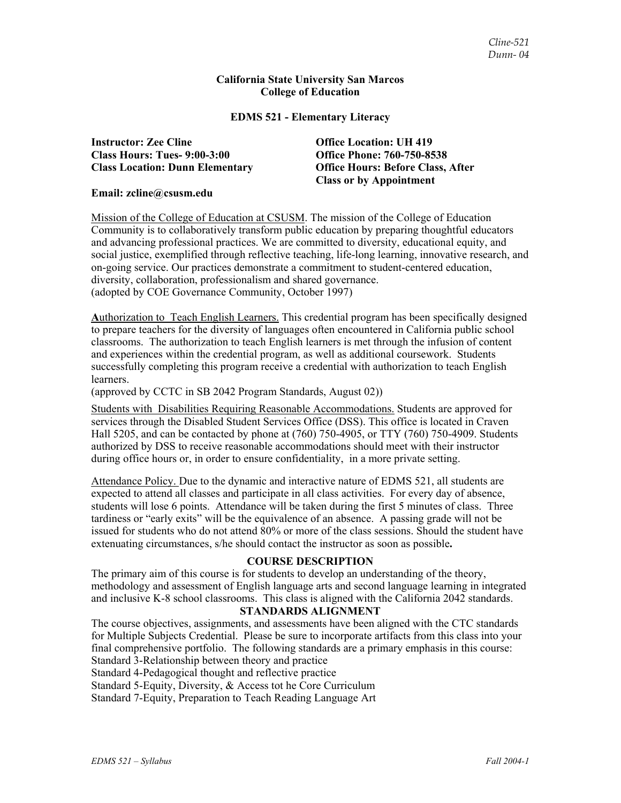#### **California State University San Marcos College of Education**

#### **EDMS 521 - Elementary Literacy**

**Instructor: Zee Cline Office Location: UH 419 Class Hours: Tues- 9:00-3:00 Office Phone: 760-750-8538** 

**Class Location: Dunn Elementary Office Hours: Before Class, After Class or by Appointment** 

#### **Email: zcline@csusm.edu**

Mission of the College of Education at CSUSM. The mission of the College of Education Community is to collaboratively transform public education by preparing thoughtful educators and advancing professional practices. We are committed to diversity, educational equity, and social justice, exemplified through reflective teaching, life-long learning, innovative research, and on-going service. Our practices demonstrate a commitment to student-centered education, diversity, collaboration, professionalism and shared governance. (adopted by COE Governance Community, October 1997)

**A**uthorization to Teach English Learners. This credential program has been specifically designed to prepare teachers for the diversity of languages often encountered in California public school classrooms. The authorization to teach English learners is met through the infusion of content and experiences within the credential program, as well as additional coursework. Students successfully completing this program receive a credential with authorization to teach English learners.

(approved by CCTC in SB 2042 Program Standards, August 02))

Students with Disabilities Requiring Reasonable Accommodations. Students are approved for services through the Disabled Student Services Office (DSS). This office is located in Craven Hall 5205, and can be contacted by phone at (760) 750-4905, or TTY (760) 750-4909. Students authorized by DSS to receive reasonable accommodations should meet with their instructor during office hours or, in order to ensure confidentiality, in a more private setting.

Attendance Policy. Due to the dynamic and interactive nature of EDMS 521, all students are expected to attend all classes and participate in all class activities. For every day of absence, students will lose 6 points. Attendance will be taken during the first 5 minutes of class. Three tardiness or "early exits" will be the equivalence of an absence. A passing grade will not be issued for students who do not attend 80% or more of the class sessions. Should the student have extenuating circumstances, s/he should contact the instructor as soon as possible**.**

# **COURSE DESCRIPTION**

The primary aim of this course is for students to develop an understanding of the theory, methodology and assessment of English language arts and second language learning in integrated and inclusive K-8 school classrooms. This class is aligned with the California 2042 standards.

#### **STANDARDS ALIGNMENT**

The course objectives, assignments, and assessments have been aligned with the CTC standards for Multiple Subjects Credential. Please be sure to incorporate artifacts from this class into your final comprehensive portfolio. The following standards are a primary emphasis in this course: Standard 3-Relationship between theory and practice

Standard 4-Pedagogical thought and reflective practice

Standard 5-Equity, Diversity, & Access tot he Core Curriculum

Standard 7-Equity, Preparation to Teach Reading Language Art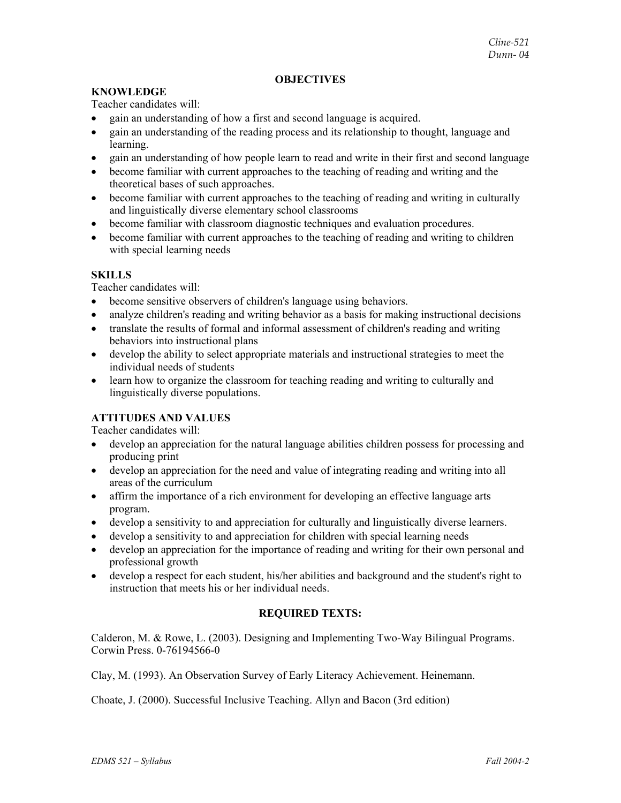## **OBJECTIVES**

# **KNOWLEDGE**

Teacher candidates will:

- gain an understanding of how a first and second language is acquired.
- gain an understanding of the reading process and its relationship to thought, language and learning.
- gain an understanding of how people learn to read and write in their first and second language
- become familiar with current approaches to the teaching of reading and writing and the theoretical bases of such approaches.
- become familiar with current approaches to the teaching of reading and writing in culturally and linguistically diverse elementary school classrooms
- become familiar with classroom diagnostic techniques and evaluation procedures.
- become familiar with current approaches to the teaching of reading and writing to children with special learning needs

### **SKILLS**

Teacher candidates will:

- become sensitive observers of children's language using behaviors.
- analyze children's reading and writing behavior as a basis for making instructional decisions
- translate the results of formal and informal assessment of children's reading and writing behaviors into instructional plans
- develop the ability to select appropriate materials and instructional strategies to meet the individual needs of students
- learn how to organize the classroom for teaching reading and writing to culturally and linguistically diverse populations.

# **ATTITUDES AND VALUES**

Teacher candidates will:

- develop an appreciation for the natural language abilities children possess for processing and producing print
- develop an appreciation for the need and value of integrating reading and writing into all areas of the curriculum
- affirm the importance of a rich environment for developing an effective language arts program.
- develop a sensitivity to and appreciation for culturally and linguistically diverse learners.
- develop a sensitivity to and appreciation for children with special learning needs
- develop an appreciation for the importance of reading and writing for their own personal and professional growth
- develop a respect for each student, his/her abilities and background and the student's right to instruction that meets his or her individual needs.

# **REQUIRED TEXTS:**

Calderon, M. & Rowe, L. (2003). Designing and Implementing Two-Way Bilingual Programs. Corwin Press. 0-76194566-0

Clay, M. (1993). An Observation Survey of Early Literacy Achievement. Heinemann.

Choate, J. (2000). Successful Inclusive Teaching. Allyn and Bacon (3rd edition)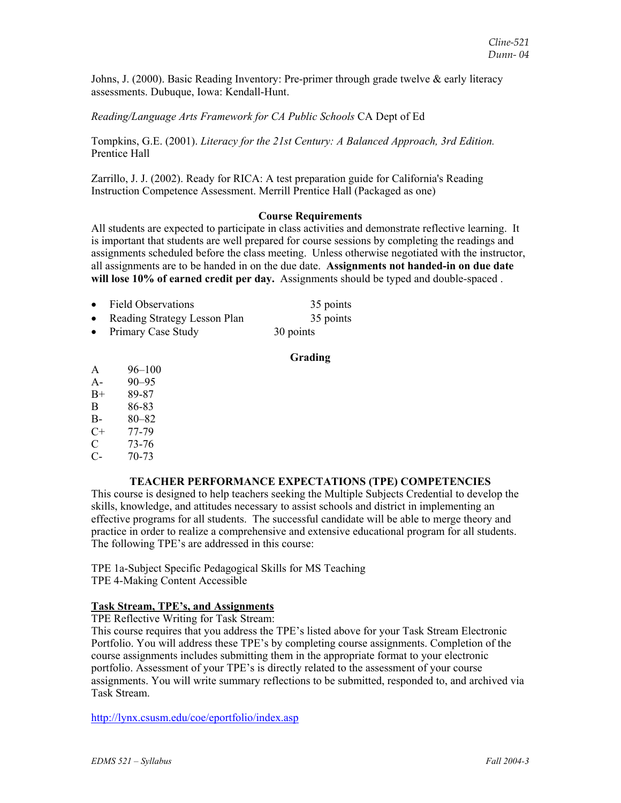Johns, J. (2000). Basic Reading Inventory: Pre-primer through grade twelve & early literacy assessments. Dubuque, Iowa: Kendall-Hunt.

# *Reading/Language Arts Framework for CA Public Schools* CA Dept of Ed

Tompkins, G.E. (2001). *Literacy for the 21st Century: A Balanced Approach, 3rd Edition.* Prentice Hall

Zarrillo, J. J. (2002). Ready for RICA: A test preparation guide for California's Reading Instruction Competence Assessment. Merrill Prentice Hall (Packaged as one)

#### **Course Requirements**

All students are expected to participate in class activities and demonstrate reflective learning. It is important that students are well prepared for course sessions by completing the readings and assignments scheduled before the class meeting. Unless otherwise negotiated with the instructor, all assignments are to be handed in on the due date. **Assignments not handed-in on due date will lose 10% of earned credit per day.** Assignments should be typed and double-spaced .

| • Field Observations           | 35 points |
|--------------------------------|-----------|
| • Reading Strategy Lesson Plan | 35 points |
| • Primary Case Study           | 30 points |

#### **Grading**

- A 96–100
- A- 90–95
- B+ 89-87
- B 86-83
- B- 80–82
- $C+ 77-79$
- C 73-76
- C- 70-73

# **TEACHER PERFORMANCE EXPECTATIONS (TPE) COMPETENCIES**

This course is designed to help teachers seeking the Multiple Subjects Credential to develop the skills, knowledge, and attitudes necessary to assist schools and district in implementing an effective programs for all students. The successful candidate will be able to merge theory and practice in order to realize a comprehensive and extensive educational program for all students. The following TPE's are addressed in this course:

TPE 1a-Subject Specific Pedagogical Skills for MS Teaching TPE 4-Making Content Accessible

# **Task Stream, TPE's, and Assignments**

TPE Reflective Writing for Task Stream:

This course requires that you address the TPE's listed above for your Task Stream Electronic Portfolio. You will address these TPE's by completing course assignments. Completion of the course assignments includes submitting them in the appropriate format to your electronic portfolio. Assessment of your TPE's is directly related to the assessment of your course assignments. You will write summary reflections to be submitted, responded to, and archived via Task Stream.

http://lynx.csusm.edu/coe/eportfolio/index.asp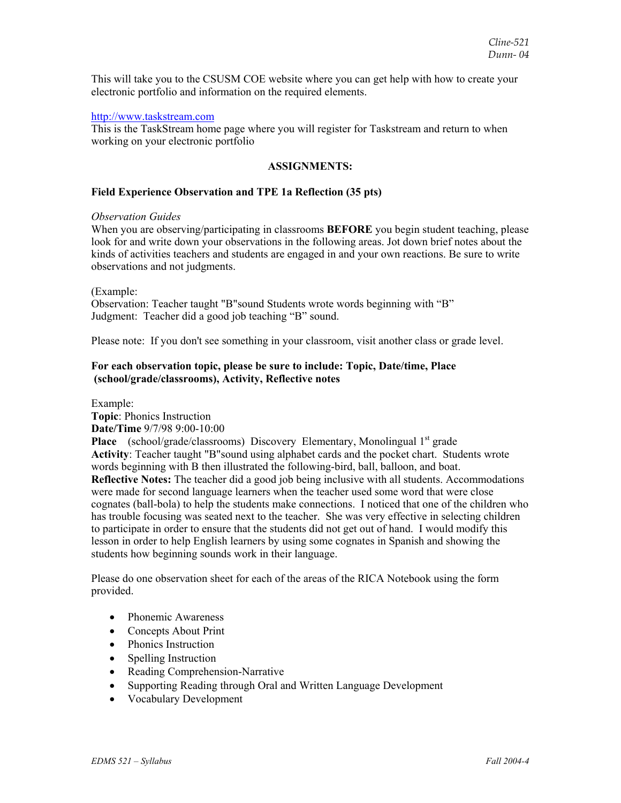This will take you to the CSUSM COE website where you can get help with how to create your electronic portfolio and information on the required elements.

#### http://www.taskstream.com

This is the TaskStream home page where you will register for Taskstream and return to when working on your electronic portfolio

#### **ASSIGNMENTS:**

# **Field Experience Observation and TPE 1a Reflection (35 pts)**

#### *Observation Guides*

When you are observing/participating in classrooms **BEFORE** you begin student teaching, please look for and write down your observations in the following areas. Jot down brief notes about the kinds of activities teachers and students are engaged in and your own reactions. Be sure to write observations and not judgments.

#### (Example:

Observation: Teacher taught "B"sound Students wrote words beginning with "B" Judgment: Teacher did a good job teaching "B" sound.

Please note: If you don't see something in your classroom, visit another class or grade level.

# **For each observation topic, please be sure to include: Topic, Date/time, Place (school/grade/classrooms), Activity, Reflective notes**

Example:

**Topic**: Phonics Instruction **Date/Time** 9/7/98 9:00-10:00

**Place** (school/grade/classrooms) Discovery Elementary, Monolingual 1<sup>st</sup> grade **Activity**: Teacher taught "B"sound using alphabet cards and the pocket chart. Students wrote words beginning with B then illustrated the following-bird, ball, balloon, and boat. **Reflective Notes:** The teacher did a good job being inclusive with all students. Accommodations were made for second language learners when the teacher used some word that were close cognates (ball-bola) to help the students make connections. I noticed that one of the children who has trouble focusing was seated next to the teacher. She was very effective in selecting children to participate in order to ensure that the students did not get out of hand. I would modify this lesson in order to help English learners by using some cognates in Spanish and showing the students how beginning sounds work in their language.

Please do one observation sheet for each of the areas of the RICA Notebook using the form provided.

- Phonemic Awareness
- Concepts About Print
- Phonics Instruction
- Spelling Instruction
- Reading Comprehension-Narrative
- Supporting Reading through Oral and Written Language Development
- Vocabulary Development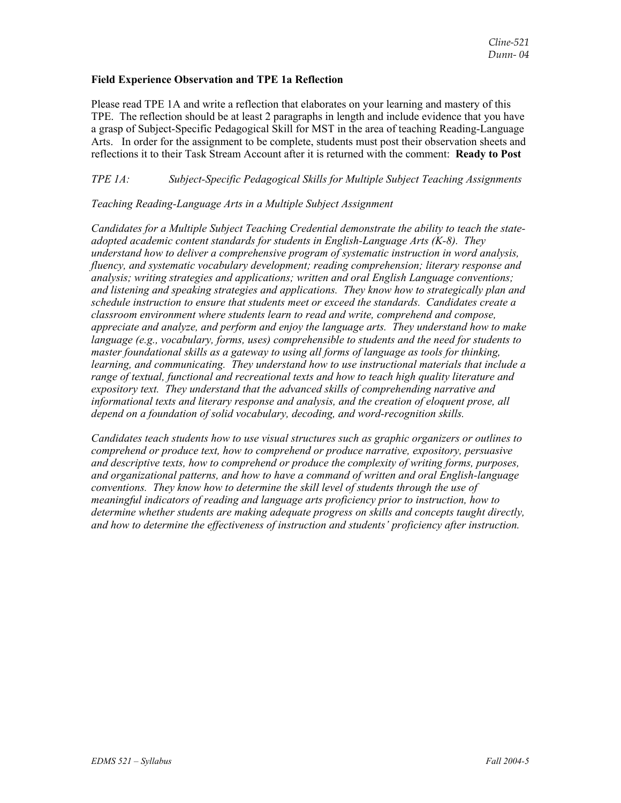#### **Field Experience Observation and TPE 1a Reflection**

Please read TPE 1A and write a reflection that elaborates on your learning and mastery of this TPE. The reflection should be at least 2 paragraphs in length and include evidence that you have a grasp of Subject-Specific Pedagogical Skill for MST in the area of teaching Reading-Language Arts. In order for the assignment to be complete, students must post their observation sheets and reflections it to their Task Stream Account after it is returned with the comment: **Ready to Post**

# *TPE 1A: Subject-Specific Pedagogical Skills for Multiple Subject Teaching Assignments*

#### *Teaching Reading-Language Arts in a Multiple Subject Assignment*

*Candidates for a Multiple Subject Teaching Credential demonstrate the ability to teach the stateadopted academic content standards for students in English-Language Arts (K-8). They understand how to deliver a comprehensive program of systematic instruction in word analysis, fluency, and systematic vocabulary development; reading comprehension; literary response and analysis; writing strategies and applications; written and oral English Language conventions; and listening and speaking strategies and applications. They know how to strategically plan and schedule instruction to ensure that students meet or exceed the standards. Candidates create a classroom environment where students learn to read and write, comprehend and compose, appreciate and analyze, and perform and enjoy the language arts. They understand how to make language (e.g., vocabulary, forms, uses) comprehensible to students and the need for students to master foundational skills as a gateway to using all forms of language as tools for thinking, learning, and communicating. They understand how to use instructional materials that include a range of textual, functional and recreational texts and how to teach high quality literature and expository text. They understand that the advanced skills of comprehending narrative and informational texts and literary response and analysis, and the creation of eloquent prose, all depend on a foundation of solid vocabulary, decoding, and word-recognition skills.* 

*Candidates teach students how to use visual structures such as graphic organizers or outlines to comprehend or produce text, how to comprehend or produce narrative, expository, persuasive and descriptive texts, how to comprehend or produce the complexity of writing forms, purposes, and organizational patterns, and how to have a command of written and oral English-language conventions. They know how to determine the skill level of students through the use of meaningful indicators of reading and language arts proficiency prior to instruction, how to determine whether students are making adequate progress on skills and concepts taught directly, and how to determine the effectiveness of instruction and students' proficiency after instruction.*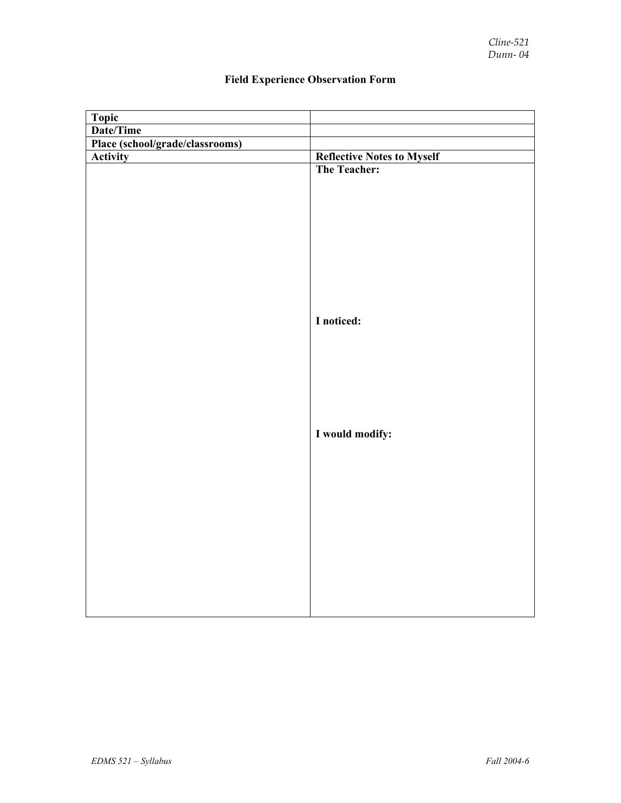| Topic                           |                                   |
|---------------------------------|-----------------------------------|
| Date/Time                       |                                   |
| Place (school/grade/classrooms) |                                   |
| <b>Activity</b>                 | <b>Reflective Notes to Myself</b> |
|                                 | The Teacher:                      |
|                                 |                                   |
|                                 |                                   |
|                                 |                                   |
|                                 |                                   |
|                                 |                                   |
|                                 |                                   |
|                                 |                                   |
|                                 |                                   |
|                                 |                                   |
|                                 | I noticed:                        |
|                                 |                                   |
|                                 |                                   |
|                                 |                                   |
|                                 |                                   |
|                                 |                                   |
|                                 |                                   |
|                                 |                                   |
|                                 | I would modify:                   |
|                                 |                                   |
|                                 |                                   |
|                                 |                                   |
|                                 |                                   |
|                                 |                                   |
|                                 |                                   |
|                                 |                                   |
|                                 |                                   |
|                                 |                                   |
|                                 |                                   |
|                                 |                                   |
|                                 |                                   |
|                                 |                                   |

# **Field Experience Observation Form**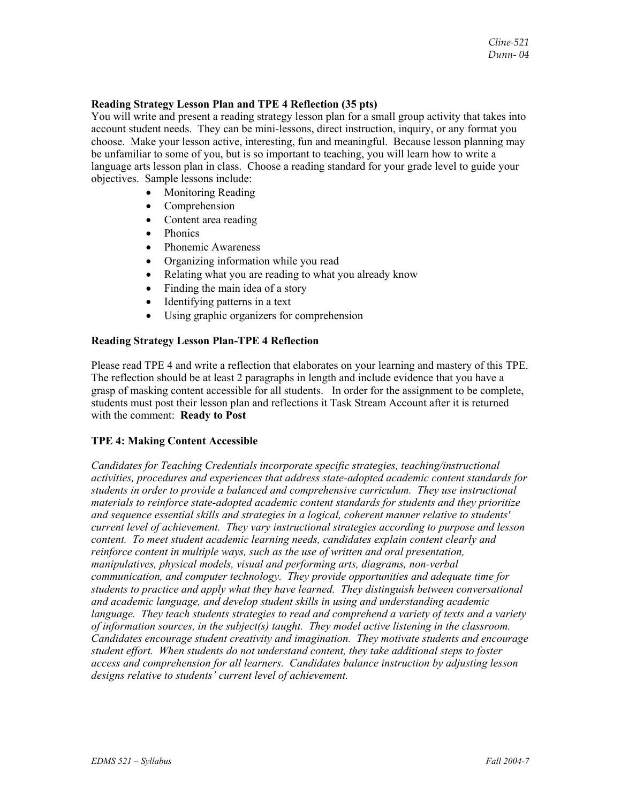#### **Reading Strategy Lesson Plan and TPE 4 Reflection (35 pts)**

You will write and present a reading strategy lesson plan for a small group activity that takes into account student needs. They can be mini-lessons, direct instruction, inquiry, or any format you choose. Make your lesson active, interesting, fun and meaningful. Because lesson planning may be unfamiliar to some of you, but is so important to teaching, you will learn how to write a language arts lesson plan in class. Choose a reading standard for your grade level to guide your objectives. Sample lessons include:

- Monitoring Reading
- Comprehension
- Content area reading
- Phonics
- Phonemic Awareness
- Organizing information while you read
- Relating what you are reading to what you already know
- Finding the main idea of a story
- Identifying patterns in a text
- Using graphic organizers for comprehension

# **Reading Strategy Lesson Plan-TPE 4 Reflection**

Please read TPE 4 and write a reflection that elaborates on your learning and mastery of this TPE. The reflection should be at least 2 paragraphs in length and include evidence that you have a grasp of masking content accessible for all students. In order for the assignment to be complete, students must post their lesson plan and reflections it Task Stream Account after it is returned with the comment: **Ready to Post**

# **TPE 4: Making Content Accessible**

*Candidates for Teaching Credentials incorporate specific strategies, teaching/instructional activities, procedures and experiences that address state-adopted academic content standards for students in order to provide a balanced and comprehensive curriculum. They use instructional materials to reinforce state-adopted academic content standards for students and they prioritize and sequence essential skills and strategies in a logical, coherent manner relative to students' current level of achievement. They vary instructional strategies according to purpose and lesson content. To meet student academic learning needs, candidates explain content clearly and reinforce content in multiple ways, such as the use of written and oral presentation, manipulatives, physical models, visual and performing arts, diagrams, non-verbal communication, and computer technology. They provide opportunities and adequate time for students to practice and apply what they have learned. They distinguish between conversational and academic language, and develop student skills in using and understanding academic language. They teach students strategies to read and comprehend a variety of texts and a variety of information sources, in the subject(s) taught. They model active listening in the classroom. Candidates encourage student creativity and imagination. They motivate students and encourage student effort. When students do not understand content, they take additional steps to foster access and comprehension for all learners. Candidates balance instruction by adjusting lesson designs relative to students' current level of achievement.*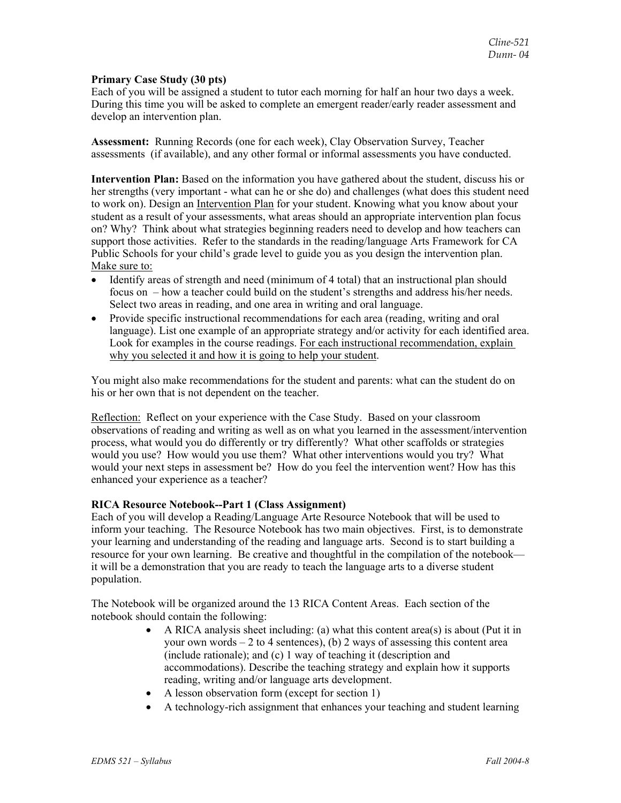#### **Primary Case Study (30 pts)**

Each of you will be assigned a student to tutor each morning for half an hour two days a week. During this time you will be asked to complete an emergent reader/early reader assessment and develop an intervention plan.

**Assessment:** Running Records (one for each week), Clay Observation Survey, Teacher assessments (if available), and any other formal or informal assessments you have conducted.

**Intervention Plan:** Based on the information you have gathered about the student, discuss his or her strengths (very important - what can he or she do) and challenges (what does this student need to work on). Design an Intervention Plan for your student. Knowing what you know about your student as a result of your assessments, what areas should an appropriate intervention plan focus on? Why? Think about what strategies beginning readers need to develop and how teachers can support those activities. Refer to the standards in the reading/language Arts Framework for CA Public Schools for your child's grade level to guide you as you design the intervention plan. Make sure to:

- Identify areas of strength and need (minimum of 4 total) that an instructional plan should focus on – how a teacher could build on the student's strengths and address his/her needs. Select two areas in reading, and one area in writing and oral language.
- Provide specific instructional recommendations for each area (reading, writing and oral language). List one example of an appropriate strategy and/or activity for each identified area. Look for examples in the course readings. For each instructional recommendation, explain why you selected it and how it is going to help your student.

You might also make recommendations for the student and parents: what can the student do on his or her own that is not dependent on the teacher.

Reflection: Reflect on your experience with the Case Study. Based on your classroom observations of reading and writing as well as on what you learned in the assessment/intervention process, what would you do differently or try differently? What other scaffolds or strategies would you use? How would you use them? What other interventions would you try? What would your next steps in assessment be? How do you feel the intervention went? How has this enhanced your experience as a teacher?

# **RICA Resource Notebook--Part 1 (Class Assignment)**

Each of you will develop a Reading/Language Arte Resource Notebook that will be used to inform your teaching. The Resource Notebook has two main objectives. First, is to demonstrate your learning and understanding of the reading and language arts. Second is to start building a resource for your own learning. Be creative and thoughtful in the compilation of the notebook it will be a demonstration that you are ready to teach the language arts to a diverse student population.

The Notebook will be organized around the 13 RICA Content Areas. Each section of the notebook should contain the following:

- A RICA analysis sheet including: (a) what this content area(s) is about (Put it in your own words  $-2$  to 4 sentences), (b) 2 ways of assessing this content area (include rationale); and (c) 1 way of teaching it (description and accommodations). Describe the teaching strategy and explain how it supports reading, writing and/or language arts development.
- A lesson observation form (except for section 1)
- A technology-rich assignment that enhances your teaching and student learning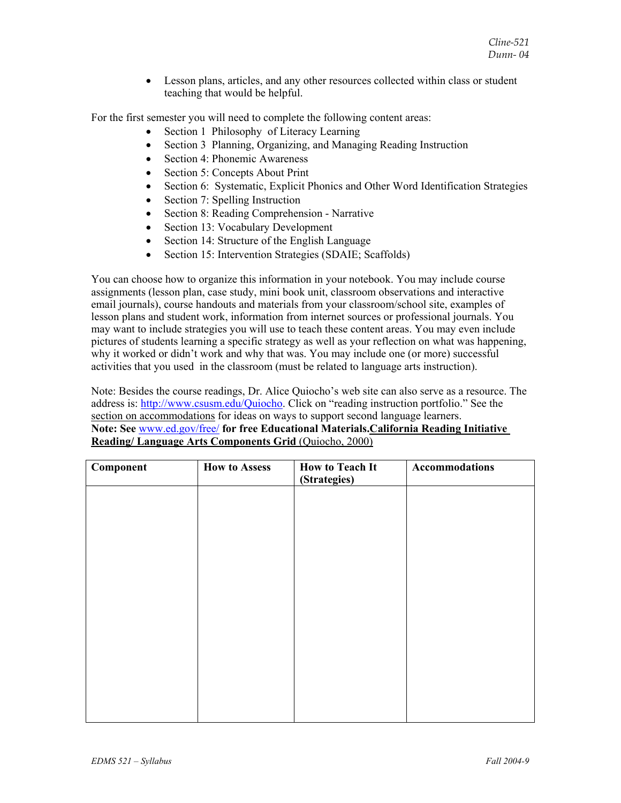• Lesson plans, articles, and any other resources collected within class or student teaching that would be helpful.

For the first semester you will need to complete the following content areas:

- Section 1 Philosophy of Literacy Learning
- Section 3 Planning, Organizing, and Managing Reading Instruction
- Section 4: Phonemic Awareness
- Section 5: Concepts About Print
- Section 6: Systematic, Explicit Phonics and Other Word Identification Strategies
- Section 7: Spelling Instruction
- Section 8: Reading Comprehension Narrative
- Section 13: Vocabulary Development
- Section 14: Structure of the English Language
- Section 15: Intervention Strategies (SDAIE; Scaffolds)

You can choose how to organize this information in your notebook. You may include course assignments (lesson plan, case study, mini book unit, classroom observations and interactive email journals), course handouts and materials from your classroom/school site, examples of lesson plans and student work, information from internet sources or professional journals. You may want to include strategies you will use to teach these content areas. You may even include pictures of students learning a specific strategy as well as your reflection on what was happening, why it worked or didn't work and why that was. You may include one (or more) successful activities that you used in the classroom (must be related to language arts instruction).

Note: Besides the course readings, Dr. Alice Quiocho's web site can also serve as a resource. The address is: http://www.csusm.edu/Quiocho. Click on "reading instruction portfolio." See the section on accommodations for ideas on ways to support second language learners. **Note: See** www.ed.gov/free/ **for free Educational Materials.California Reading Initiative Reading/ Language Arts Components Grid** (Quiocho, 2000)

| Component | <b>How to Assess</b> | <b>How to Teach It</b><br>(Strategies) | Accommodations |
|-----------|----------------------|----------------------------------------|----------------|
|           |                      |                                        |                |
|           |                      |                                        |                |
|           |                      |                                        |                |
|           |                      |                                        |                |
|           |                      |                                        |                |
|           |                      |                                        |                |
|           |                      |                                        |                |
|           |                      |                                        |                |
|           |                      |                                        |                |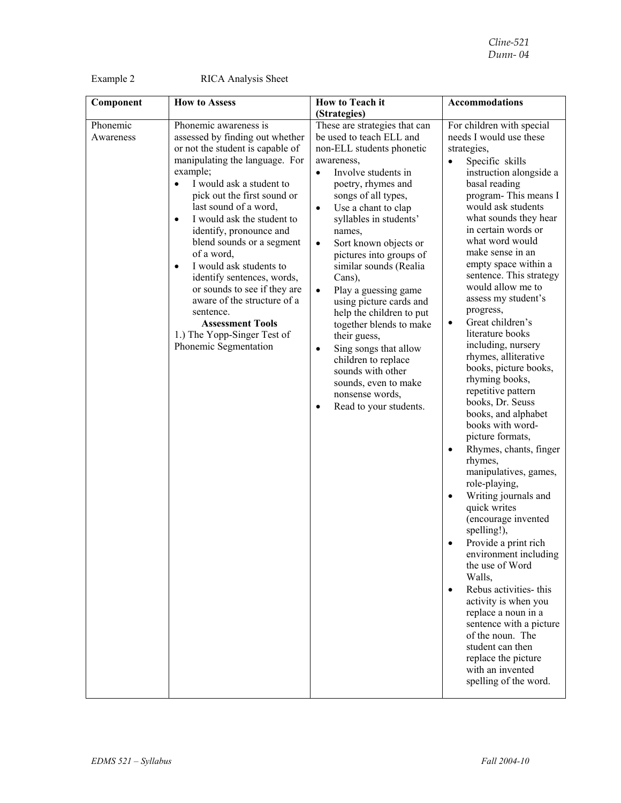Example 2 RICA Analysis Sheet

| Component             | <b>How to Assess</b>                                                                                                                                                                                                                                                                                                                                                                                                                                                                                                                                                                              | <b>How to Teach it</b>                                                                                                                                                                                                                                                                                                                                                                                                                                                                                                                                                                                                                                                        | <b>Accommodations</b>                                                                                                                                                                                                                                                                                                                                                                                                                                                                                                                                                                                                                                                                                                                                                                                                                                                                                                                                                                                                                                                                                                           |
|-----------------------|---------------------------------------------------------------------------------------------------------------------------------------------------------------------------------------------------------------------------------------------------------------------------------------------------------------------------------------------------------------------------------------------------------------------------------------------------------------------------------------------------------------------------------------------------------------------------------------------------|-------------------------------------------------------------------------------------------------------------------------------------------------------------------------------------------------------------------------------------------------------------------------------------------------------------------------------------------------------------------------------------------------------------------------------------------------------------------------------------------------------------------------------------------------------------------------------------------------------------------------------------------------------------------------------|---------------------------------------------------------------------------------------------------------------------------------------------------------------------------------------------------------------------------------------------------------------------------------------------------------------------------------------------------------------------------------------------------------------------------------------------------------------------------------------------------------------------------------------------------------------------------------------------------------------------------------------------------------------------------------------------------------------------------------------------------------------------------------------------------------------------------------------------------------------------------------------------------------------------------------------------------------------------------------------------------------------------------------------------------------------------------------------------------------------------------------|
|                       |                                                                                                                                                                                                                                                                                                                                                                                                                                                                                                                                                                                                   | (Strategies)                                                                                                                                                                                                                                                                                                                                                                                                                                                                                                                                                                                                                                                                  |                                                                                                                                                                                                                                                                                                                                                                                                                                                                                                                                                                                                                                                                                                                                                                                                                                                                                                                                                                                                                                                                                                                                 |
| Phonemic<br>Awareness | Phonemic awareness is<br>assessed by finding out whether<br>or not the student is capable of<br>manipulating the language. For<br>example;<br>I would ask a student to<br>$\bullet$<br>pick out the first sound or<br>last sound of a word,<br>I would ask the student to<br>$\bullet$<br>identify, pronounce and<br>blend sounds or a segment<br>of a word,<br>I would ask students to<br>$\bullet$<br>identify sentences, words,<br>or sounds to see if they are<br>aware of the structure of a<br>sentence.<br><b>Assessment Tools</b><br>1.) The Yopp-Singer Test of<br>Phonemic Segmentation | These are strategies that can<br>be used to teach ELL and<br>non-ELL students phonetic<br>awareness,<br>Involve students in<br>$\bullet$<br>poetry, rhymes and<br>songs of all types,<br>Use a chant to clap<br>$\bullet$<br>syllables in students'<br>names,<br>Sort known objects or<br>$\bullet$<br>pictures into groups of<br>similar sounds (Realia<br>Cans),<br>Play a guessing game<br>$\bullet$<br>using picture cards and<br>help the children to put<br>together blends to make<br>their guess,<br>Sing songs that allow<br>$\bullet$<br>children to replace<br>sounds with other<br>sounds, even to make<br>nonsense words,<br>Read to your students.<br>$\bullet$ | For children with special<br>needs I would use these<br>strategies,<br>Specific skills<br>instruction alongside a<br>basal reading<br>program-This means I<br>would ask students<br>what sounds they hear<br>in certain words or<br>what word would<br>make sense in an<br>empty space within a<br>sentence. This strategy<br>would allow me to<br>assess my student's<br>progress,<br>Great children's<br>$\bullet$<br>literature books<br>including, nursery<br>rhymes, alliterative<br>books, picture books,<br>rhyming books,<br>repetitive pattern<br>books, Dr. Seuss<br>books, and alphabet<br>books with word-<br>picture formats,<br>Rhymes, chants, finger<br>$\bullet$<br>rhymes,<br>manipulatives, games,<br>role-playing,<br>Writing journals and<br>quick writes<br>(encourage invented<br>spelling!),<br>Provide a print rich<br>environment including<br>the use of Word<br>Walls,<br>Rebus activities- this<br>$\bullet$<br>activity is when you<br>replace a noun in a<br>sentence with a picture<br>of the noun. The<br>student can then<br>replace the picture<br>with an invented<br>spelling of the word. |